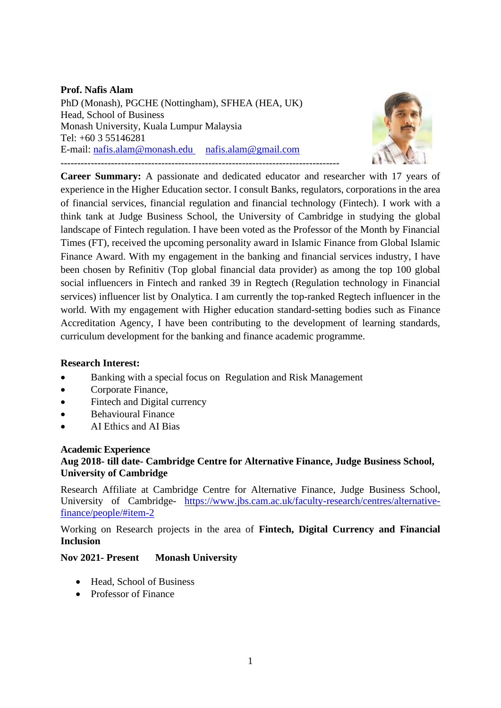#### **Prof. Nafis Alam**

PhD (Monash), PGCHE (Nottingham), SFHEA (HEA, UK) Head, School of Business Monash University, Kuala Lumpur Malaysia Tel: +60 3 55146281 E-mail: [nafis.alam@monash.edu](mailto:nafis.alam@monash.edu) [nafis.alam@gmail.com](mailto:nafis.alam@gmail.com) -----------------------------------------------------------------------------------



**Career Summary:** A passionate and dedicated educator and researcher with 17 years of experience in the Higher Education sector. I consult Banks, regulators, corporations in the area of financial services, financial regulation and financial technology (Fintech). I work with a think tank at Judge Business School, the University of Cambridge in studying the global landscape of Fintech regulation. I have been voted as the Professor of the Month by Financial Times (FT), received the upcoming personality award in Islamic Finance from Global Islamic Finance Award. With my engagement in the banking and financial services industry, I have been chosen by Refinitiv (Top global financial data provider) as among the top 100 global social influencers in Fintech and ranked 39 in Regtech (Regulation technology in Financial services) influencer list by Onalytica. I am currently the top-ranked Regtech influencer in the world. With my engagement with Higher education standard-setting bodies such as Finance Accreditation Agency, I have been contributing to the development of learning standards, curriculum development for the banking and finance academic programme.

#### **Research Interest:**

- Banking with a special focus on Regulation and Risk Management
- Corporate Finance,
- Fintech and Digital currency
- Behavioural Finance
- AI Ethics and AI Bias

#### **Academic Experience**

### **Aug 2018- till date- Cambridge Centre for Alternative Finance, Judge Business School, University of Cambridge**

Research Affiliate at Cambridge Centre for Alternative Finance, Judge Business School, University of Cambridge- [https://www.jbs.cam.ac.uk/faculty-research/centres/alternative](https://www.jbs.cam.ac.uk/faculty-research/centres/alternative-finance/people/#item-2)[finance/people/#item-2](https://www.jbs.cam.ac.uk/faculty-research/centres/alternative-finance/people/#item-2)

Working on Research projects in the area of **Fintech, Digital Currency and Financial Inclusion**

#### **Nov 2021- Present Monash University**

- Head, School of Business
- Professor of Finance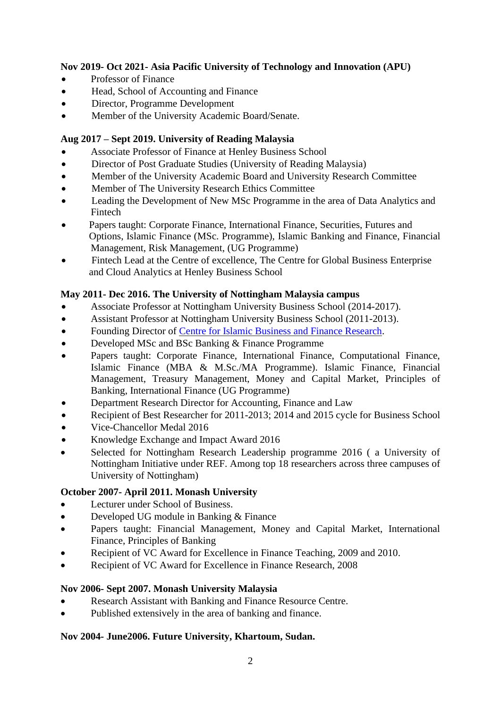# **Nov 2019- Oct 2021- Asia Pacific University of Technology and Innovation (APU)**

- Professor of Finance
- Head, School of Accounting and Finance
- Director, Programme Development
- Member of the University Academic Board/Senate.

### **Aug 2017 – Sept 2019. University of Reading Malaysia**

- Associate Professor of Finance at Henley Business School
- Director of Post Graduate Studies (University of Reading Malaysia)
- Member of the University Academic Board and University Research Committee
- Member of The University Research Ethics Committee
- Leading the Development of New MSc Programme in the area of Data Analytics and Fintech
- Papers taught: Corporate Finance, International Finance, Securities, Futures and Options, Islamic Finance (MSc. Programme), Islamic Banking and Finance, Financial Management, Risk Management, (UG Programme)
- Fintech Lead at the Centre of excellence, The Centre for Global Business Enterprise and Cloud Analytics at Henley Business School

# **May 2011- Dec 2016. The University of Nottingham Malaysia campus**

- Associate Professor at Nottingham University Business School (2014-2017).
- Assistant Professor at Nottingham University Business School (2011-2013).
- Founding Director of [Centre for Islamic Business and Finance Research.](http://www.nottingham.edu.my/Business/Research/Centres/CIBFR/index.aspx)
- Developed MSc and BSc Banking & Finance Programme
- Papers taught: Corporate Finance, International Finance, Computational Finance, Islamic Finance (MBA & M.Sc./MA Programme). Islamic Finance, Financial Management, Treasury Management, Money and Capital Market, Principles of Banking, International Finance (UG Programme)
- Department Research Director for Accounting, Finance and Law
- Recipient of Best Researcher for 2011-2013; 2014 and 2015 cycle for Business School
- Vice-Chancellor Medal 2016
- Knowledge Exchange and Impact Award 2016
- Selected for Nottingham Research Leadership programme 2016 ( a University of Nottingham Initiative under REF. Among top 18 researchers across three campuses of University of Nottingham)

# **October 2007- April 2011. Monash University**

- Lecturer under School of Business.
- Developed UG module in Banking & Finance
- Papers taught: Financial Management, Money and Capital Market, International Finance, Principles of Banking
- Recipient of VC Award for Excellence in Finance Teaching, 2009 and 2010.
- Recipient of VC Award for Excellence in Finance Research, 2008

### **Nov 2006- Sept 2007. Monash University Malaysia**

- Research Assistant with Banking and Finance Resource Centre.
- Published extensively in the area of banking and finance.

### **Nov 2004- June2006. Future University, Khartoum, Sudan.**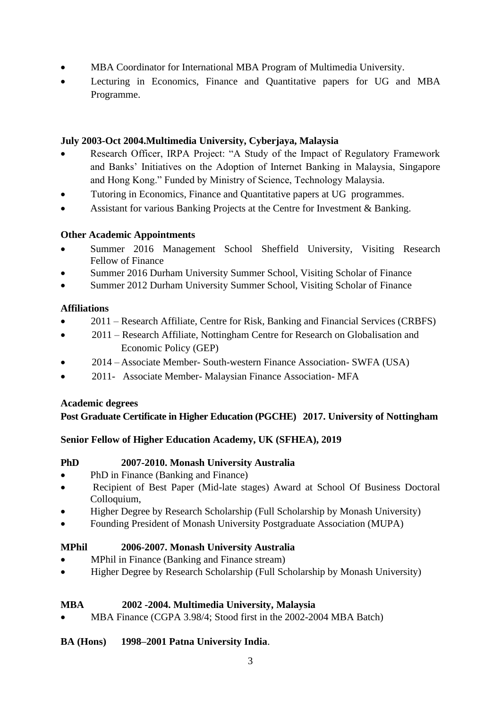- MBA Coordinator for International MBA Program of Multimedia University.
- Lecturing in Economics, Finance and Quantitative papers for UG and MBA Programme.

# **July 2003-Oct 2004.Multimedia University, Cyberjaya, Malaysia**

- Research Officer, IRPA Project: "A Study of the Impact of Regulatory Framework and Banks' Initiatives on the Adoption of Internet Banking in Malaysia, Singapore and Hong Kong." Funded by Ministry of Science, Technology Malaysia.
- Tutoring in Economics, Finance and Quantitative papers at UG programmes.
- Assistant for various Banking Projects at the Centre for Investment & Banking.

### **Other Academic Appointments**

- Summer 2016 Management School Sheffield University, Visiting Research Fellow of Finance
- Summer 2016 Durham University Summer School, Visiting Scholar of Finance
- Summer 2012 Durham University Summer School, Visiting Scholar of Finance

### **Affiliations**

- 2011 Research Affiliate, Centre for Risk, Banking and Financial Services (CRBFS)
- 2011 Research Affiliate, Nottingham Centre for Research on Globalisation and Economic Policy (GEP)
- 2014 Associate Member- South-western Finance Association- SWFA (USA)
- 2011- Associate Member- Malaysian Finance Association- MFA

### **Academic degrees**

# **Post Graduate Certificate in Higher Education (PGCHE) 2017. University of Nottingham**

# **Senior Fellow of Higher Education Academy, UK (SFHEA), 2019**

### **PhD 2007-2010. Monash University Australia**

- PhD in Finance (Banking and Finance)
- Recipient of Best Paper (Mid-late stages) Award at School Of Business Doctoral Colloquium,
- Higher Degree by Research Scholarship (Full Scholarship by Monash University)
- Founding President of Monash University Postgraduate Association (MUPA)

### **MPhil 2006-2007. Monash University Australia**

- MPhil in Finance (Banking and Finance stream)
- Higher Degree by Research Scholarship (Full Scholarship by Monash University)

### **MBA 2002 -2004. Multimedia University, Malaysia**

• MBA Finance (CGPA 3.98/4; Stood first in the 2002-2004 MBA Batch)

### **BA (Hons) 1998–2001 Patna University India**.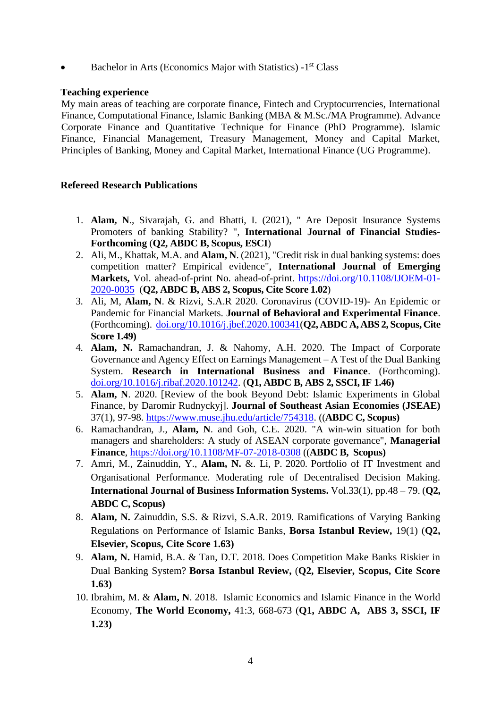• Bachelor in Arts (Economics Major with Statistics) -1<sup>st</sup> Class

#### **Teaching experience**

My main areas of teaching are corporate finance, Fintech and Cryptocurrencies, International Finance, Computational Finance, Islamic Banking (MBA & M.Sc./MA Programme). Advance Corporate Finance and Quantitative Technique for Finance (PhD Programme). Islamic Finance, Financial Management, Treasury Management, Money and Capital Market, Principles of Banking, Money and Capital Market, International Finance (UG Programme).

### **Refereed Research Publications**

- 1. **Alam, N**., Sivarajah, G. and Bhatti, I. (2021), " Are Deposit Insurance Systems Promoters of banking Stability? ", **International Journal of Financial Studies-Forthcoming** (**Q2, ABDC B, Scopus, ESCI**)
- 2. Ali, M., Khattak, M.A. and **Alam, N**. (2021), "Credit risk in dual banking systems: does competition matter? Empirical evidence", **International Journal of Emerging Markets,** Vol. ahead-of-print No. ahead-of-print. [https://doi.org/10.1108/IJOEM-01-](https://doi.org/10.1108/IJOEM-01-2020-0035) [2020-0035](https://doi.org/10.1108/IJOEM-01-2020-0035) (**Q2, ABDC B, ABS 2, Scopus, Cite Score 1.02**)
- 3. Ali, M, **Alam, N**. & Rizvi, S.A.R 2020. Coronavirus (COVID-19)- An Epidemic or Pandemic for Financial Markets. **Journal of Behavioral and Experimental Finance**. (Forthcoming). [doi.org/10.1016/j.jbef.2020.100341\(](https://doi.org/10.1016/j.jbef.2020.100341)**Q2, ABDC A, ABS 2, Scopus, Cite Score 1.49)**
- 4. **Alam, N.** Ramachandran, J. & Nahomy, A.H. 2020. The Impact of Corporate Governance and Agency Effect on Earnings Management – A Test of the Dual Banking System. **Research in International Business and Finance**. (Forthcoming). [doi.org/10.1016/j.ribaf.2020.101242.](https://doi.org/10.1016/j.ribaf.2020.101242) (**Q1, ABDC B, ABS 2, SSCI, IF 1.46)**
- 5. **Alam, N**. 2020. [Review of the book Beyond Debt: Islamic Experiments in Global Finance, by Daromir Rudnyckyj]. **Journal of Southeast Asian Economies (JSEAE)** 37(1), 97-98. [https://www.muse.jhu.edu/article/754318.](https://muse.jhu.edu/article/754318) ((**ABDC C, Scopus)**
- 6. Ramachandran, J., **Alam, N**. and Goh, C.E. 2020. "A win-win situation for both managers and shareholders: A study of ASEAN corporate governance", **Managerial Finance**, <https://doi.org/10.1108/MF-07-2018-0308> ((**ABDC B, Scopus)**
- 7. Amri, M., Zainuddin, Y., **Alam, N.** &. Li, P. 2020. Portfolio of IT Investment and Organisational Performance. Moderating role of Decentralised Decision Making. **International Journal of Business Information Systems.** Vol.33(1), pp.48 – 79. (**Q2, ABDC C, Scopus)**
- 8. **Alam, N.** Zainuddin, S.S. & Rizvi, S.A.R. 2019. Ramifications of Varying Banking Regulations on Performance of Islamic Banks, **Borsa Istanbul Review,** 19(1) (**Q2, Elsevier, Scopus, Cite Score 1.63)**
- 9. **Alam, N.** Hamid, B.A. & Tan, D.T. 2018. Does Competition Make Banks Riskier in Dual Banking System? **Borsa Istanbul Review,** (**Q2, Elsevier, Scopus, Cite Score 1.63)**
- 10. Ibrahim, M. & **Alam, N**. 2018. Islamic Economics and Islamic Finance in the World Economy, **The World Economy,** 41:3, 668-673 (**Q1, ABDC A, ABS 3, SSCI, IF 1.23)**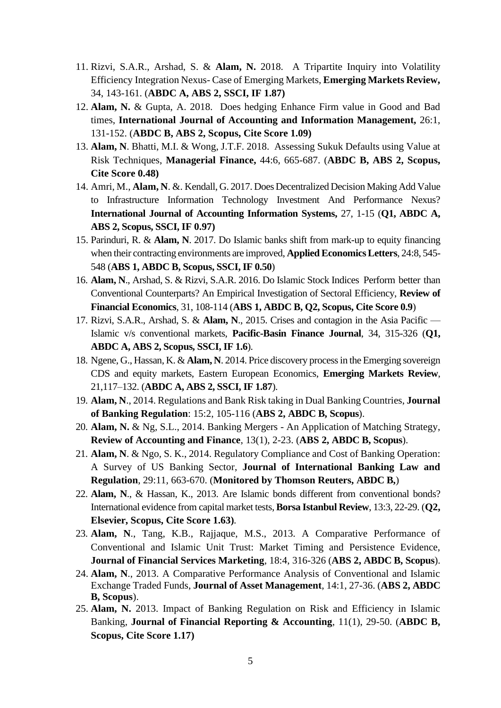- 11. Rizvi, S.A.R., Arshad, S. & **Alam, N.** 2018. A Tripartite Inquiry into Volatility Efficiency Integration Nexus- Case of Emerging Markets, **Emerging Markets Review,**  34, 143-161. (**ABDC A, ABS 2, SSCI, IF 1.87)**
- 12. **Alam, N.** & Gupta, A. 2018. Does hedging Enhance Firm value in Good and Bad times, **International Journal of Accounting and Information Management,** 26:1, 131-152. (**ABDC B, ABS 2, Scopus, Cite Score 1.09)**
- 13. **Alam, N**. Bhatti, M.I. & Wong, J.T.F. 2018. Assessing Sukuk Defaults using Value at Risk Techniques, **Managerial Finance,** 44:6, 665-687. (**ABDC B, ABS 2, Scopus, Cite Score 0.48)**
- 14. Amri, M., **Alam, N**. &. Kendall, G. 2017. Does Decentralized Decision Making Add Value to Infrastructure Information Technology Investment And Performance Nexus? **International Journal of Accounting Information Systems,** 27, 1-15 (**Q1, ABDC A, ABS 2, Scopus, SSCI, IF 0.97)**
- 15. Parinduri, R. & **Alam, N**. 2017. Do Islamic banks shift from mark-up to equity financing when their contracting environments are improved, **Applied Economics Letters**, 24:8, 545- 548 (**ABS 1, ABDC B, Scopus, SSCI, IF 0.50**)
- 16. **Alam, N**., Arshad, S. & Rizvi, S.A.R. 2016. Do Islamic Stock Indices Perform better than Conventional Counterparts? An Empirical Investigation of Sectoral Efficiency, **Review of Financial Economics**, 31, 108-114 (**ABS 1, ABDC B, Q2, Scopus, Cite Score 0.9**)
- 17. Rizvi, S.A.R., Arshad, S. & **Alam, N**., 2015. Crises and contagion in the Asia Pacific Islamic v/s conventional markets, **Pacific-Basin Finance Journal**, 34, 315-326 (**Q1, ABDC A, ABS 2, Scopus, SSCI, IF 1.6**).
- 18. Ngene, G., Hassan, K. & **Alam, N**. 2014. Price discovery process in the Emerging sovereign CDS and equity markets, Eastern European Economics, **Emerging Markets Review**, 21,117–132. (**ABDC A, ABS 2, SSCI, IF 1.87**).
- 19. **Alam, N**., 2014. Regulations and Bank Risk taking in Dual Banking Countries, **Journal of Banking Regulation**: 15:2, 105-116 (**ABS 2, ABDC B, Scopus**).
- 20. **Alam, N.** & Ng, S.L., 2014. Banking Mergers An Application of Matching Strategy, **Review of Accounting and Finance**, 13(1), 2-23. (**ABS 2, ABDC B, Scopus**).
- 21. **Alam, N**. & Ngo, S. K., 2014. Regulatory Compliance and Cost of Banking Operation: A Survey of US Banking Sector, **Journal of International Banking Law and Regulation**, 29:11, 663-670. (**Monitored by Thomson Reuters, ABDC B,**)
- 22. **Alam, N**., & Hassan, K., 2013. Are Islamic bonds different from conventional bonds? International evidence from capital market tests, **Borsa Istanbul Review**, 13:3, 22-29. (**Q2, Elsevier, Scopus, Cite Score 1.63)**.
- 23. **Alam, N**., Tang, K.B., Rajjaque, M.S., 2013. A Comparative Performance of Conventional and Islamic Unit Trust: Market Timing and Persistence Evidence, **Journal of Financial Services Marketing**, 18:4, 316-326 (**ABS 2, ABDC B, Scopus**).
- 24. **Alam, N**., 2013. A Comparative Performance Analysis of Conventional and Islamic Exchange Traded Funds, **Journal of Asset Management**, 14:1, 27-36. (**ABS 2, ABDC B, Scopus**).
- 25. **Alam, N.** 2013. Impact of Banking Regulation on Risk and Efficiency in Islamic Banking, **Journal of Financial Reporting & Accounting**, 11(1), 29-50. (**ABDC B, Scopus, Cite Score 1.17)**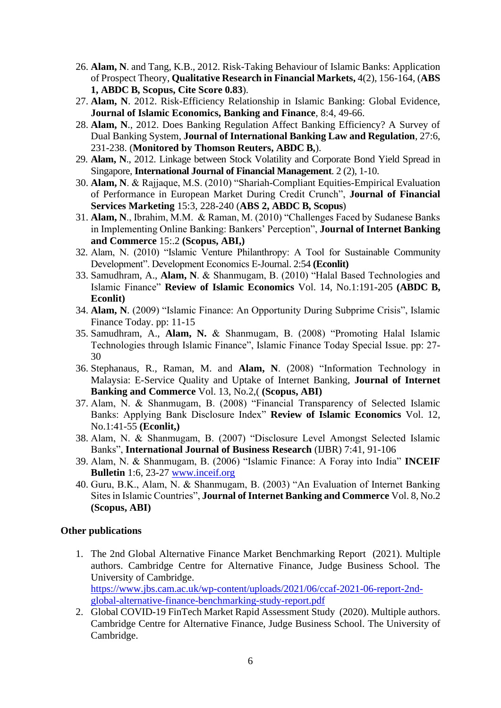- 26. **Alam, N**. and Tang, K.B., 2012. Risk-Taking Behaviour of Islamic Banks: Application of Prospect Theory, **Qualitative Research in Financial Markets,** 4(2), 156-164, (**ABS 1, ABDC B, Scopus, Cite Score 0.83**).
- 27. **Alam, N**. 2012. Risk-Efficiency Relationship in Islamic Banking: Global Evidence, **Journal of Islamic Economics, Banking and Finance**, 8:4, 49-66.
- 28. **Alam, N**., 2012. Does Banking Regulation Affect Banking Efficiency? A Survey of Dual Banking System, **Journal of International Banking Law and Regulation**, 27:6, 231-238. (**Monitored by Thomson Reuters, ABDC B,**).
- 29. **Alam, N**., 2012. Linkage between Stock Volatility and Corporate Bond Yield Spread in Singapore, **International Journal of Financial Management**. 2 (2), 1-10.
- 30. **Alam, N**. & Rajjaque, M.S. (2010) "Shariah-Compliant Equities-Empirical Evaluation of Performance in European Market During Credit Crunch", **Journal of Financial Services Marketing** 15:3, 228-240 (**ABS 2, ABDC B, Scopus**)
- 31. **Alam, N**., Ibrahim, M.M. & Raman, M. (2010) "Challenges Faced by Sudanese Banks in Implementing Online Banking: Bankers' Perception", **Journal of Internet Banking and Commerce** 15:.2 **(Scopus, ABI,)**
- 32. Alam, N. (2010) "Islamic Venture Philanthropy: A Tool for Sustainable Community Development". Development Economics E-Journal. 2:54 **(Econlit)**
- 33. Samudhram, A., **Alam, N**. & Shanmugam, B. (2010) "Halal Based Technologies and Islamic Finance" **Review of Islamic Economics** Vol. 14, No.1:191-205 **(ABDC B, Econlit)**
- 34. **Alam, N**. (2009) "Islamic Finance: An Opportunity During Subprime Crisis", Islamic Finance Today. pp: 11-15
- 35. Samudhram, A., **Alam, N.** & Shanmugam, B. (2008) "Promoting Halal Islamic Technologies through Islamic Finance", Islamic Finance Today Special Issue. pp: 27- 30
- 36. Stephanaus, R., Raman, M. and **Alam, N**. (2008) "Information Technology in Malaysia: E-Service Quality and Uptake of Internet Banking, **Journal of Internet Banking and Commerce** Vol. 13, No.2,( **(Scopus, ABI)**
- 37. Alam, N. & Shanmugam, B. (2008) "Financial Transparency of Selected Islamic Banks: Applying Bank Disclosure Index" **Review of Islamic Economics** Vol. 12, No.1:41-55 **(Econlit,)**
- 38. Alam, N. & Shanmugam, B. (2007) "Disclosure Level Amongst Selected Islamic Banks", **International Journal of Business Research** (IJBR) 7:41, 91-106
- 39. Alam, N. & Shanmugam, B. (2006) "Islamic Finance: A Foray into India" **INCEIF Bulletin** 1:6, 23-27 [www.inceif.org](http://www.inceif.org/)
- 40. Guru, B.K., Alam, N. & Shanmugam, B. (2003) "An Evaluation of Internet Banking Sites in Islamic Countries", **Journal of Internet Banking and Commerce** Vol. 8, No.2 **(Scopus, ABI)**

#### **Other publications**

- 1. The 2nd Global Alternative Finance Market Benchmarking Report (2021). Multiple authors. Cambridge Centre for Alternative Finance, Judge Business School. The University of Cambridge. [https://www.jbs.cam.ac.uk/wp-content/uploads/2021/06/ccaf-2021-06-report-2nd](https://www.jbs.cam.ac.uk/wp-content/uploads/2021/06/ccaf-2021-06-report-2nd-global-alternative-finance-benchmarking-study-report.pdf)[global-alternative-finance-benchmarking-study-report.pdf](https://www.jbs.cam.ac.uk/wp-content/uploads/2021/06/ccaf-2021-06-report-2nd-global-alternative-finance-benchmarking-study-report.pdf)
- 2. Global COVID-19 FinTech Market Rapid Assessment Study (2020). Multiple authors. Cambridge Centre for Alternative Finance, Judge Business School. The University of Cambridge.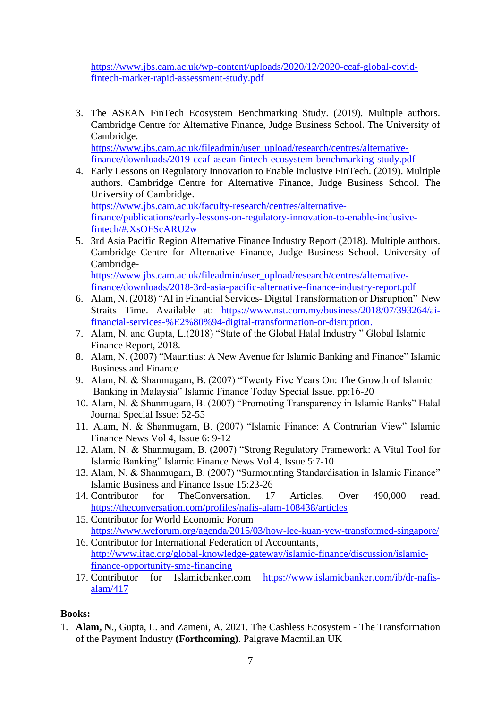[https://www.jbs.cam.ac.uk/wp-content/uploads/2020/12/2020-ccaf-global-covid](https://www.jbs.cam.ac.uk/wp-content/uploads/2020/12/2020-ccaf-global-covid-fintech-market-rapid-assessment-study.pdf)[fintech-market-rapid-assessment-study.pdf](https://www.jbs.cam.ac.uk/wp-content/uploads/2020/12/2020-ccaf-global-covid-fintech-market-rapid-assessment-study.pdf)

3. The ASEAN FinTech Ecosystem Benchmarking Study. (2019). Multiple authors. Cambridge Centre for Alternative Finance, Judge Business School. The University of Cambridge.

https://www.jbs.cam.ac.uk/fileadmin/user\_upload/research/centres/alternativefinance/downloads/2019-ccaf-asean-fintech-ecosystem-benchmarking-study.pdf

4. Early Lessons on Regulatory Innovation to Enable Inclusive FinTech. (2019). Multiple authors. Cambridge Centre for Alternative Finance, Judge Business School. The University of Cambridge. [https://www.jbs.cam.ac.uk/faculty-research/centres/alternative-](https://www.jbs.cam.ac.uk/faculty-research/centres/alternative-finance/publications/early-lessons-on-regulatory-innovation-to-enable-inclusive-fintech/#.XsOFScARU2w)

[finance/publications/early-lessons-on-regulatory-innovation-to-enable-inclusive](https://www.jbs.cam.ac.uk/faculty-research/centres/alternative-finance/publications/early-lessons-on-regulatory-innovation-to-enable-inclusive-fintech/#.XsOFScARU2w)[fintech/#.XsOFScARU2w](https://www.jbs.cam.ac.uk/faculty-research/centres/alternative-finance/publications/early-lessons-on-regulatory-innovation-to-enable-inclusive-fintech/#.XsOFScARU2w)

5. 3rd Asia Pacific Region Alternative Finance Industry Report (2018). Multiple authors. Cambridge Centre for Alternative Finance, Judge Business School. University of Cambridge[https://www.jbs.cam.ac.uk/fileadmin/user\\_upload/research/centres/alternative-](https://www.jbs.cam.ac.uk/fileadmin/user_upload/research/centres/alternative-finance/downloads/2018-3rd-asia-pacific-alternative-finance-industry-report.pdf)

[finance/downloads/2018-3rd-asia-pacific-alternative-finance-industry-report.pdf](https://www.jbs.cam.ac.uk/fileadmin/user_upload/research/centres/alternative-finance/downloads/2018-3rd-asia-pacific-alternative-finance-industry-report.pdf)

- 6. Alam, N. (2018) "AI in Financial Services- Digital Transformation or Disruption" New Straits Time. Available at: [https://www.nst.com.my/business/2018/07/393264/ai](https://www.nst.com.my/business/2018/07/393264/ai-financial-services-%E2%80%94-digital-transformation-or-disruption)[financial-services-%E2%80%94-digital-transformation-or-disruption.](https://www.nst.com.my/business/2018/07/393264/ai-financial-services-%E2%80%94-digital-transformation-or-disruption)
- 7. Alam, N. and Gupta, L.(2018) "State of the Global Halal Industry " Global Islamic Finance Report, 2018.
- 8. Alam, N. (2007) "Mauritius: A New Avenue for Islamic Banking and Finance" Islamic Business and Finance
- 9. Alam, N. & Shanmugam, B. (2007) "Twenty Five Years On: The Growth of Islamic Banking in Malaysia" Islamic Finance Today Special Issue. pp:16-20
- 10. Alam, N. & Shanmugam, B. (2007) "Promoting Transparency in Islamic Banks" Halal Journal Special Issue: 52-55
- 11. Alam, N. & Shanmugam, B. (2007) "Islamic Finance: A Contrarian View" Islamic Finance News Vol 4, Issue 6: 9-12
- 12. Alam, N. & Shanmugam, B. (2007) "Strong Regulatory Framework: A Vital Tool for Islamic Banking" Islamic Finance News Vol 4, Issue 5:7-10
- 13. Alam, N. & Shanmugam, B. (2007) "Surmounting Standardisation in Islamic Finance" Islamic Business and Finance Issue 15:23-26
- 14. Contributor for TheConversation. 17 Articles. Over 490,000 read. <https://theconversation.com/profiles/nafis-alam-108438/articles>
- 15. Contributor for World Economic Forum <https://www.weforum.org/agenda/2015/03/how-lee-kuan-yew-transformed-singapore/>
- 16. Contributor for International Federation of Accountants, [http://www.ifac.org/global-knowledge-gateway/islamic-finance/discussion/islamic](http://www.ifac.org/global-knowledge-gateway/islamic-finance/discussion/islamic-finance-opportunity-sme-financing)[finance-opportunity-sme-financing](http://www.ifac.org/global-knowledge-gateway/islamic-finance/discussion/islamic-finance-opportunity-sme-financing)
- 17. Contributor for Islamicbanker.com [https://www.islamicbanker.com/ib/dr-nafis](https://www.islamicbanker.com/ib/dr-nafis-alam/417)[alam/417](https://www.islamicbanker.com/ib/dr-nafis-alam/417)

### **Books:**

1. **Alam, N**., Gupta, L. and Zameni, A. 2021. The Cashless Ecosystem - The Transformation of the Payment Industry **(Forthcoming)**. Palgrave Macmillan UK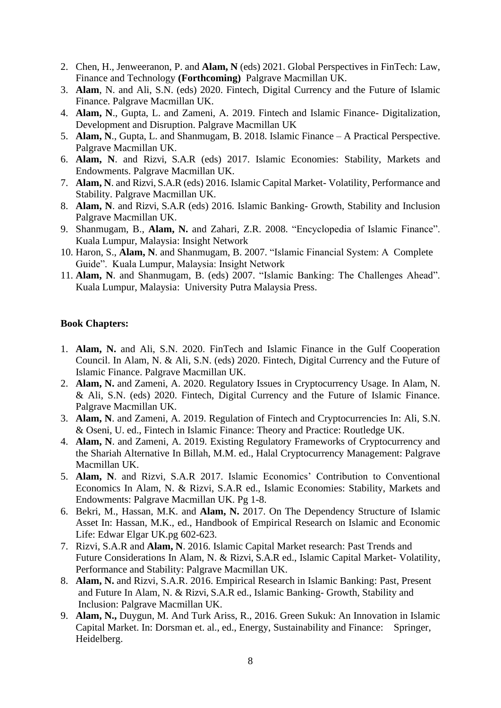- 2. Chen, H., Jenweeranon, P. and **Alam, N** (eds) 2021. Global Perspectives in FinTech: Law, Finance and Technology **(Forthcoming)** Palgrave Macmillan UK.
- 3. **Alam**, N. and Ali, S.N. (eds) 2020. Fintech, Digital Currency and the Future of Islamic Finance. Palgrave Macmillan UK.
- 4. **Alam, N**., Gupta, L. and Zameni, A. 2019. Fintech and Islamic Finance- Digitalization, Development and Disruption. Palgrave Macmillan UK
- 5. **Alam, N**., Gupta, L. and Shanmugam, B. 2018. Islamic Finance A Practical Perspective. Palgrave Macmillan UK.
- 6. **Alam, N**. and Rizvi, S.A.R (eds) 2017. Islamic Economies: Stability, Markets and Endowments. Palgrave Macmillan UK.
- 7. **Alam, N**. and Rizvi, S.A.R (eds) 2016. Islamic Capital Market- Volatility, Performance and Stability. Palgrave Macmillan UK.
- 8. **Alam, N**. and Rizvi, S.A.R (eds) 2016. Islamic Banking- Growth, Stability and Inclusion Palgrave Macmillan UK.
- 9. Shanmugam, B., **Alam, N.** and Zahari, Z.R. 2008. "Encyclopedia of Islamic Finance". Kuala Lumpur, Malaysia: Insight Network
- 10. Haron, S., **Alam, N**. and Shanmugam, B. 2007. "Islamic Financial System: A Complete Guide". Kuala Lumpur, Malaysia: Insight Network
- 11. **Alam, N**. and Shanmugam, B. (eds) 2007. "Islamic Banking: The Challenges Ahead". Kuala Lumpur, Malaysia: University Putra Malaysia Press.

#### **Book Chapters:**

- 1. **Alam, N.** and Ali, S.N. 2020. FinTech and Islamic Finance in the Gulf Cooperation Council. In Alam, N. & Ali, S.N. (eds) 2020. Fintech, Digital Currency and the Future of Islamic Finance. Palgrave Macmillan UK.
- 2. **Alam, N.** and Zameni, A. 2020. Regulatory Issues in Cryptocurrency Usage. In Alam, N. & Ali, S.N. (eds) 2020. Fintech, Digital Currency and the Future of Islamic Finance. Palgrave Macmillan UK.
- 3. **Alam, N**. and Zameni, A. 2019. Regulation of Fintech and Cryptocurrencies In: Ali, S.N. & Oseni, U. ed., Fintech in Islamic Finance: Theory and Practice: Routledge UK.
- 4. **Alam, N**. and Zameni, A. 2019. Existing Regulatory Frameworks of Cryptocurrency and the Shariah Alternative In Billah, M.M. ed., Halal Cryptocurrency Management: Palgrave Macmillan UK.
- 5. **Alam, N**. and Rizvi, S.A.R 2017. Islamic Economics' Contribution to Conventional Economics In Alam, N. & Rizvi, S.A.R ed., Islamic Economies: Stability, Markets and Endowments: Palgrave Macmillan UK. Pg 1-8.
- 6. Bekri, M., Hassan, M.K. and **Alam, N.** 2017. On The Dependency Structure of Islamic Asset In: Hassan, M.K., ed., Handbook of Empirical Research on Islamic and Economic Life: Edwar Elgar UK.pg 602-623.
- 7. Rizvi, S.A.R and **Alam, N**. 2016. Islamic Capital Market research: Past Trends and Future Considerations In Alam, N. & Rizvi, S.A.R ed., Islamic Capital Market- Volatility, Performance and Stability: Palgrave Macmillan UK.
- 8. **Alam, N.** and Rizvi, S.A.R. 2016. Empirical Research in Islamic Banking: Past, Present and Future In Alam, N. & Rizvi, S.A.R ed., Islamic Banking- Growth, Stability and Inclusion: Palgrave Macmillan UK.
- 9. **Alam, N.,** Duygun, M. And Turk Ariss, R., 2016. Green Sukuk: An Innovation in Islamic Capital Market. In: Dorsman et. al., ed., Energy, Sustainability and Finance: Springer, Heidelberg.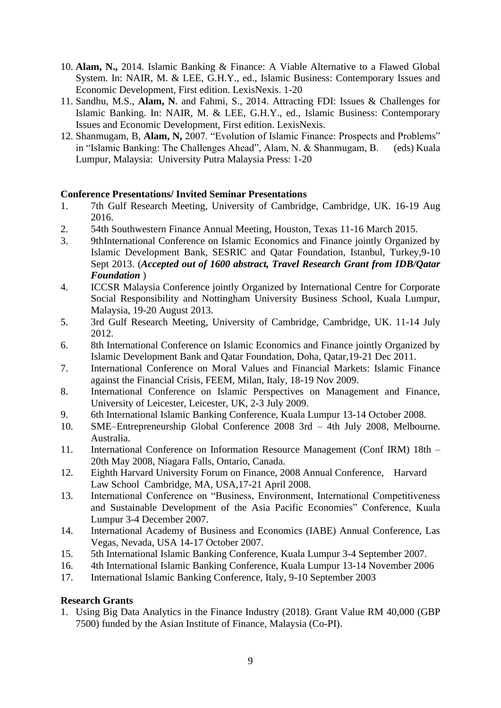- 10. **Alam, N.,** 2014. Islamic Banking & Finance: A Viable Alternative to a Flawed Global System. In: NAIR, M. & LEE, G.H.Y., ed., Islamic Business: Contemporary Issues and Economic Development, First edition. LexisNexis. 1-20
- 11. Sandhu, M.S., **Alam, N**. and Fahmi, S., 2014. Attracting FDI: Issues & Challenges for Islamic Banking. In: NAIR, M. & LEE, G.H.Y., ed., Islamic Business: Contemporary Issues and Economic Development, First edition. LexisNexis.
- 12. Shanmugam, B, **Alam, N,** 2007. "Evolution of Islamic Finance: Prospects and Problems" in "Islamic Banking: The Challenges Ahead", Alam, N. & Shanmugam, B. (eds) Kuala Lumpur, Malaysia: University Putra Malaysia Press: 1-20

### **Conference Presentations/ Invited Seminar Presentations**

- 1. 7th Gulf Research Meeting, University of Cambridge, Cambridge, UK. 16-19 Aug 2016.
- 2. 54th Southwestern Finance Annual Meeting, Houston, Texas 11-16 March 2015.
- 3. 9thInternational Conference on Islamic Economics and Finance jointly Organized by Islamic Development Bank, SESRIC and Qatar Foundation, Istanbul, Turkey,9-10 Sept 2013. (*Accepted out of 1600 abstract, Travel Research Grant from IDB/Qatar Foundation* )
- 4. ICCSR Malaysia Conference jointly Organized by International Centre for Corporate Social Responsibility and Nottingham University Business School, Kuala Lumpur, Malaysia, 19-20 August 2013.
- 5. 3rd Gulf Research Meeting, University of Cambridge, Cambridge, UK. 11-14 July 2012.
- 6. 8th International Conference on Islamic Economics and Finance jointly Organized by Islamic Development Bank and Qatar Foundation, Doha, Qatar,19-21 Dec 2011.
- 7. International Conference on Moral Values and Financial Markets: Islamic Finance against the Financial Crisis, FEEM, Milan, Italy, 18-19 Nov 2009.
- 8. International Conference on Islamic Perspectives on Management and Finance, University of Leicester, Leicester, UK, 2-3 July 2009.
- 9. 6th International Islamic Banking Conference, Kuala Lumpur 13-14 October 2008.
- 10. SME–Entrepreneurship Global Conference 2008 3rd 4th July 2008, Melbourne. Australia.
- 11. International Conference on Information Resource Management (Conf IRM) 18th 20th May 2008, Niagara Falls, Ontario, Canada.
- 12. Eighth Harvard University Forum on Finance, 2008 Annual Conference, Harvard Law School Cambridge, MA, USA,17-21 April 2008.
- 13. International Conference on "Business, Environment, International Competitiveness and Sustainable Development of the Asia Pacific Economies" Conference, Kuala Lumpur 3-4 December 2007.
- 14. International Academy of Business and Economics (IABE) Annual Conference, Las Vegas, Nevada, USA 14-17 October 2007.
- 15. 5th International Islamic Banking Conference, Kuala Lumpur 3-4 September 2007.
- 16. 4th International Islamic Banking Conference, Kuala Lumpur 13-14 November 2006
- 17. International Islamic Banking Conference, Italy, 9-10 September 2003

#### **Research Grants**

1. Using Big Data Analytics in the Finance Industry (2018). Grant Value RM 40,000 (GBP 7500) funded by the Asian Institute of Finance, Malaysia (Co-PI).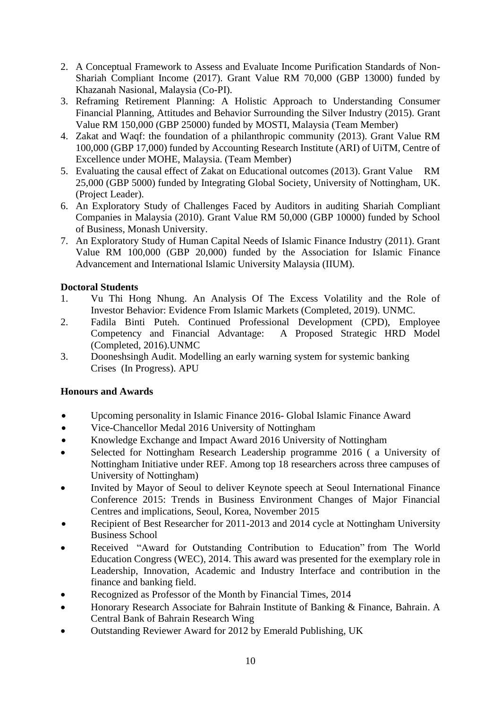- 2. A Conceptual Framework to Assess and Evaluate Income Purification Standards of Non-Shariah Compliant Income (2017). Grant Value RM 70,000 (GBP 13000) funded by Khazanah Nasional, Malaysia (Co-PI).
- 3. Reframing Retirement Planning: A Holistic Approach to Understanding Consumer Financial Planning, Attitudes and Behavior Surrounding the Silver Industry (2015). Grant Value RM 150,000 (GBP 25000) funded by MOSTI, Malaysia (Team Member)
- 4. Zakat and Waqf: the foundation of a philanthropic community (2013). Grant Value RM 100,000 (GBP 17,000) funded by Accounting Research Institute (ARI) of UiTM, Centre of Excellence under MOHE, Malaysia. (Team Member)
- 5. Evaluating the causal effect of Zakat on Educational outcomes (2013). Grant Value RM 25,000 (GBP 5000) funded by Integrating Global Society, University of Nottingham, UK. (Project Leader).
- 6. An Exploratory Study of Challenges Faced by Auditors in auditing Shariah Compliant Companies in Malaysia (2010). Grant Value RM 50,000 (GBP 10000) funded by School of Business, Monash University.
- 7. An Exploratory Study of Human Capital Needs of Islamic Finance Industry (2011). Grant Value RM 100,000 (GBP 20,000) funded by the Association for Islamic Finance Advancement and International Islamic University Malaysia (IIUM).

### **Doctoral Students**

- 1. Vu Thi Hong Nhung. An Analysis Of The Excess Volatility and the Role of Investor Behavior: Evidence From Islamic Markets (Completed, 2019). UNMC.
- 2. Fadila Binti Puteh. Continued Professional Development (CPD), Employee Competency and Financial Advantage: A Proposed Strategic HRD Model (Completed, 2016).UNMC
- 3. Dooneshsingh Audit. Modelling an early warning system for systemic banking Crises (In Progress). APU

### **Honours and Awards**

- Upcoming personality in Islamic Finance 2016- Global Islamic Finance Award
- Vice-Chancellor Medal 2016 University of Nottingham
- Knowledge Exchange and Impact Award 2016 University of Nottingham
- Selected for Nottingham Research Leadership programme 2016 ( a University of Nottingham Initiative under REF. Among top 18 researchers across three campuses of University of Nottingham)
- Invited by Mayor of Seoul to deliver Keynote speech at Seoul International Finance Conference 2015: Trends in Business Environment Changes of Major Financial Centres and implications, Seoul, Korea, November 2015
- Recipient of Best Researcher for 2011-2013 and 2014 cycle at Nottingham University Business School
- Received "Award for Outstanding Contribution to Education" from The World Education Congress (WEC), 2014. This award was presented for the exemplary role in Leadership, Innovation, Academic and Industry Interface and contribution in the finance and banking field.
- Recognized as [Professor of the Month](http://www.ft.com/intl/cms/s/2/6099a4fc-d513-11e3-adec-00144feabdc0.html#axzz3GDmjDjLb) by Financial Times, 2014
- Honorary Research Associate for Bahrain Institute of Banking & Finance, Bahrain. A Central Bank of Bahrain Research Wing
- Outstanding Reviewer Award for 2012 by Emerald Publishing, UK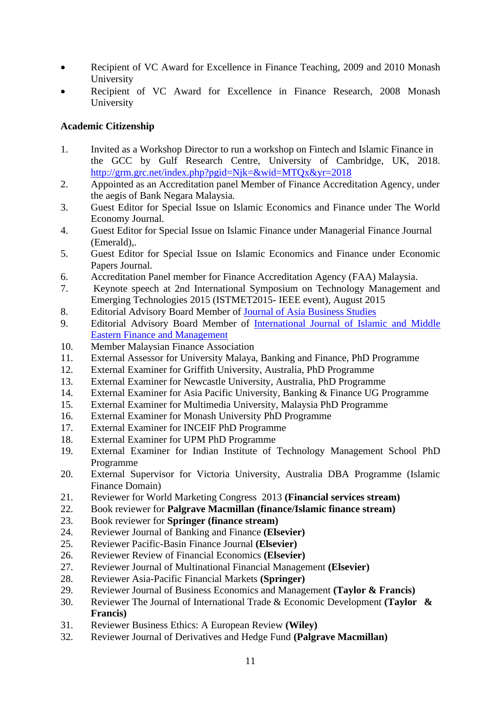- Recipient of VC Award for Excellence in Finance Teaching, 2009 and 2010 Monash University
- Recipient of VC Award for Excellence in Finance Research, 2008 Monash University

### **Academic Citizenship**

- 1. Invited as a Workshop Director to run a workshop on Fintech and Islamic Finance in the GCC by Gulf Research Centre, University of Cambridge, UK, 2018. <http://grm.grc.net/index.php?pgid=Njk=&wid=MTQx&yr=2018>
- 2. Appointed as an Accreditation panel Member of Finance Accreditation Agency, under the aegis of Bank Negara Malaysia.
- 3. Guest Editor for Special Issue on Islamic Economics and Finance under The World Economy Journal.
- 4. Guest Editor for Special Issue on Islamic Finance under Managerial Finance Journal (Emerald),.
- 5. Guest Editor for Special Issue on Islamic Economics and Finance under Economic Papers Journal.
- 6. Accreditation Panel member for Finance Accreditation Agency (FAA) Malaysia.
- 7. Keynote speech at 2nd International Symposium on Technology Management and Emerging Technologies 2015 (ISTMET2015- IEEE event), August 2015
- 8. Editorial Advisory Board Member of [Journal of Asia Business Studies](http://www.emeraldgrouppublishing.com/products/journals/editorial_team.htm?id=jabs)
- 9. Editorial Advisory Board Member of [International Journal of Islamic and Middle](http://www.emeraldgrouppublishing.com/products/journals/editorial_team.htm?id=imefm)  [Eastern Finance and Management](http://www.emeraldgrouppublishing.com/products/journals/editorial_team.htm?id=imefm)
- 10. Member Malaysian Finance Association
- 11. External Assessor for University Malaya, Banking and Finance, PhD Programme
- 12. External Examiner for Griffith University, Australia, PhD Programme
- 13. External Examiner for Newcastle University, Australia, PhD Programme
- 14. External Examiner for Asia Pacific University, Banking & Finance UG Programme
- 15. External Examiner for Multimedia University, Malaysia PhD Programme
- 16. External Examiner for Monash University PhD Programme
- 17. External Examiner for INCEIF PhD Programme
- 18. External Examiner for UPM PhD Programme
- 19. External Examiner for Indian Institute of Technology Management School PhD Programme
- 20. External Supervisor for Victoria University, Australia DBA Programme (Islamic Finance Domain)
- 21. Reviewer for World Marketing Congress 2013 **(Financial services stream)**
- 22. Book reviewer for **Palgrave Macmillan (finance/Islamic finance stream)**
- 23. Book reviewer for **Springer (finance stream)**
- 24. Reviewer Journal of Banking and Finance **(Elsevier)**
- 25. Reviewer Pacific-Basin Finance Journal **(Elsevier)**
- 26. Reviewer Review of Financial Economics **(Elsevier)**
- 27. Reviewer Journal of Multinational Financial Management **(Elsevier)**
- 28. Reviewer Asia-Pacific Financial Markets **(Springer)**
- 29. Reviewer Journal of Business Economics and Management **(Taylor & Francis)**
- 30. Reviewer The Journal of International Trade & Economic Development **(Taylor & Francis)**
- 31. Reviewer Business Ethics: A European Review **(Wiley)**
- 32. Reviewer Journal of Derivatives and Hedge Fund **(Palgrave Macmillan)**